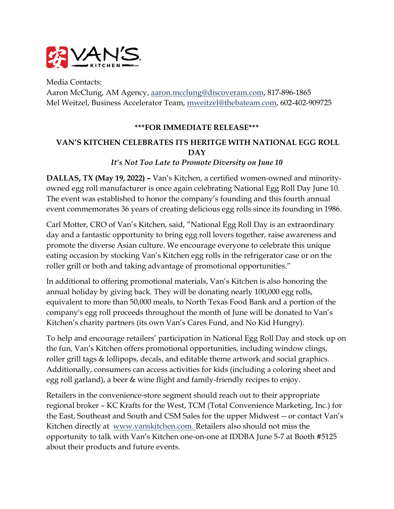

Media Contacts: Aaron McClung, AM Agency, aaron.mcclung@discoveram.com, 817-896-1865 Mel Weitzel, Business Accelerator Team, mweitzel@thebateam.com, 602-402-909725

## **\*\*\*FOR IMMEDIATE RELEASE\*\*\***

## **VAN'S KITCHEN CELEBRATES ITS HERITGE WITH NATIONAL EGG ROLL DAY**

## *It's Not Too Late to Promote Diversity on June 10*

**DALLAS, TX (May 19, 2022) –** Van's Kitchen, a certified women-owned and minorityowned egg roll manufacturer is once again celebrating National Egg Roll Day June 10. The event was established to honor the company's founding and this fourth annual event commemorates 36 years of creating delicious egg rolls since its founding in 1986.

Carl Motter, CRO of Van's Kitchen, said, "National Egg Roll Day is an extraordinary day and a fantastic opportunity to bring egg roll lovers together, raise awareness and promote the diverse Asian culture. We encourage everyone to celebrate this unique eating occasion by stocking Van's Kitchen egg rolls in the refrigerator case or on the roller grill or both and taking advantage of promotional opportunities."

In additional to offering promotional materials, Van's Kitchen is also honoring the annual holiday by giving back. They will be donating nearly 100,000 egg rolls, equivalent to more than 50,000 meals, to North Texas Food Bank and a portion of the company's egg roll proceeds throughout the month of June will be donated to Van's Kitchen's charity partners (its own Van's Cares Fund, and No Kid Hungry).

To help and encourage retailers' participation in National Egg Roll Day and stock up on the fun, Van's Kitchen offers promotional opportunities, including window clings, roller grill tags & lollipops, decals, and editable theme artwork and social graphics. Additionally, consumers can access activities for kids (including a coloring sheet and egg roll garland), a beer & wine flight and family-friendly recipes to enjoy.

Retailers in the convenience-store segment should reach out to their appropriate regional broker – KC Krafts for the West, TCM (Total Convenience Marketing, Inc.) for the East, Southeast and South and CSM Sales for the upper Midwest -- or contact Van's Kitchen directly at www.vanskitchen.com. Retailers also should not miss the opportunity to talk with Van's Kitchen one-on-one at IDDBA June 5-7 at Booth #5125 about their products and future events.